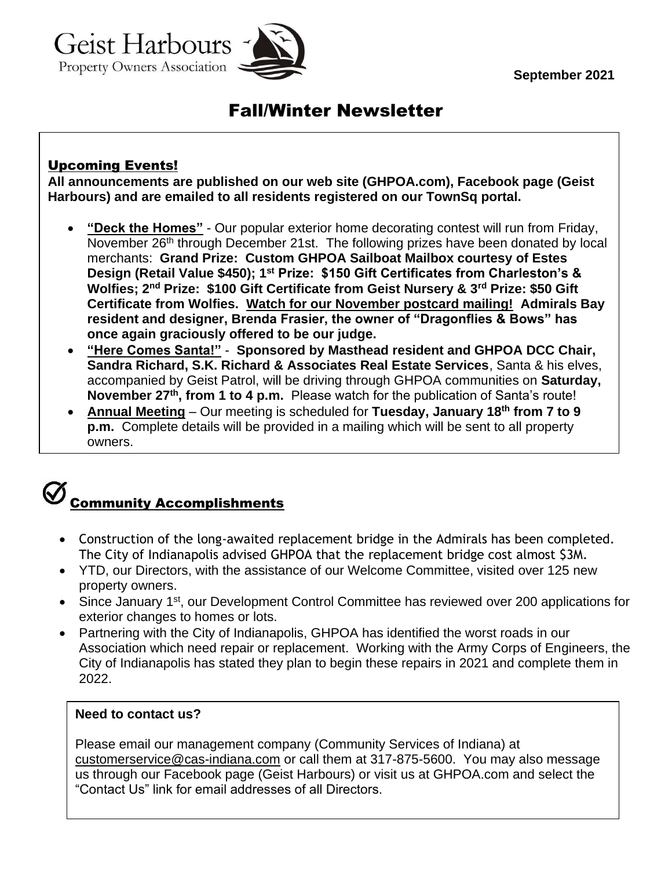**September 2021**



#### Fall/Winter Newsletter

#### Upcoming Events!

**All announcements are published on our web site (GHPOA.com), Facebook page (Geist Harbours) and are emailed to all residents registered on our TownSq portal.**

- **"Deck the Homes"** Our popular exterior home decorating contest will run from Friday, November 26<sup>th</sup> through December 21st. The following prizes have been donated by local merchants: **Grand Prize: Custom GHPOA Sailboat Mailbox courtesy of Estes Design (Retail Value \$450); 1st Prize: \$150 Gift Certificates from Charleston's & Wolfies; 2nd Prize: \$100 Gift Certificate from Geist Nursery & 3rd Prize: \$50 Gift Certificate from Wolfies. Watch for our November postcard mailing! Admirals Bay resident and designer, Brenda Frasier, the owner of "Dragonflies & Bows" has once again graciously offered to be our judge.**
- **"Here Comes Santa!"** - **Sponsored by Masthead resident and GHPOA DCC Chair, Sandra Richard, S.K. Richard & Associates Real Estate Services**, Santa & his elves, accompanied by Geist Patrol, will be driving through GHPOA communities on **Saturday, November 27th, from 1 to 4 p.m.** Please watch for the publication of Santa's route!
- **Annual Meeting** Our meeting is scheduled for **Tuesday, January 18 th from 7 to 9 p.m.** Complete details will be provided in a mailing which will be sent to all property owners.

# $\bigotimes_\textsf{Community}\underbrace{\textsf{Accomplishments}}$

- Construction of the long-awaited replacement bridge in the Admirals has been completed. The City of Indianapolis advised GHPOA that the replacement bridge cost almost \$3M.
- YTD, our Directors, with the assistance of our Welcome Committee, visited over 125 new property owners.
- Since January 1<sup>st</sup>, our Development Control Committee has reviewed over 200 applications for exterior changes to homes or lots.
- Partnering with the City of Indianapolis, GHPOA has identified the worst roads in our Association which need repair or replacement. Working with the Army Corps of Engineers, the City of Indianapolis has stated they plan to begin these repairs in 2021 and complete them in 2022.

#### **Need to contact us?**

Please email our management company (Community Services of Indiana) at custome[rservice@cas-indiana.com](mailto:service@cas-indiana.com) or call them at 317-875-5600. You may also message us through our Facebook page (Geist Harbours) or visit us at GHPOA.com and select the "Contact Us" link for email addresses of all Directors.